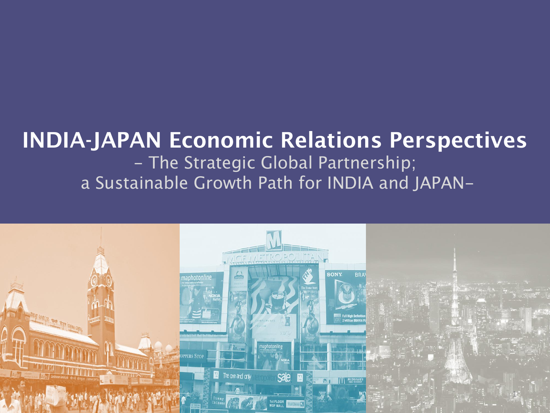## **INDIA-JAPAN Economic Relations Perspectives**  - The Strategic Global Partnership; a Sustainable Growth Path for INDIA and JAPAN-

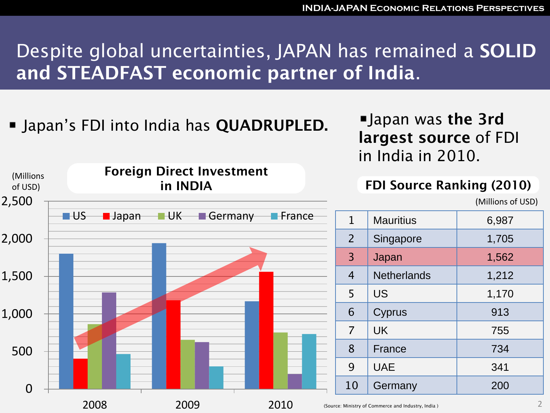# Despite global uncertainties, JAPAN has remained a **SOLID and STEADFAST economic partner of India**.

■ Japan's FDI into India has **QUADRUPLED.** ■ Japan was **the 3rd** 

2008 2009 2010

**largest source** of FDI in India in 2010.

#### $\Omega$ 500 1,000 1,500 2,000 2,500 **US Japan UK Germany France** (Millions of USD) 1 Mauritius 1 6,987 2 Singapore 1,705 3 Japan 1,562 4 Netherlands 1,212 5 US 1,170 6 Cyprus 1913 7 UK 755 8 **France** 734 9 UAE 341 10 Germany 200 **Foreign Direct Investment in INDIA FDI Source Ranking (2010)** (Millions of USD)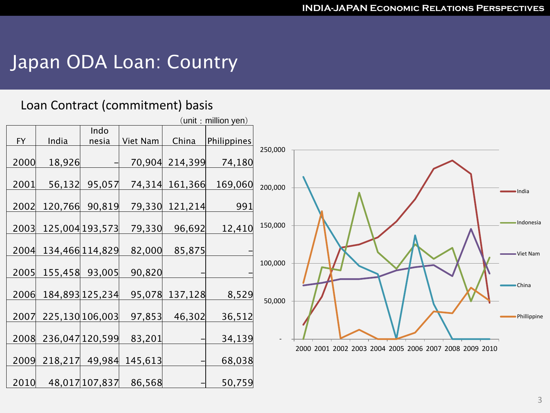### Japan ODA Loan: Country

#### Loan Contract (commitment) basis

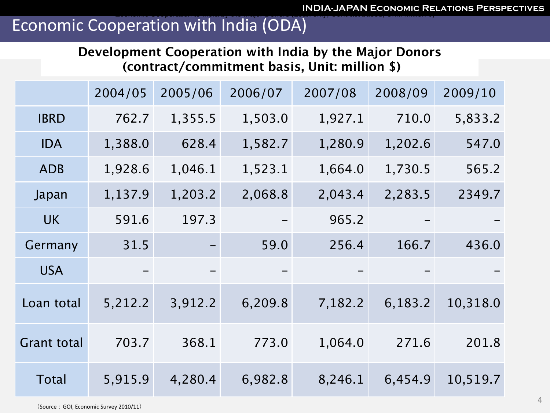### Economic Cooperation with India (ODA)

**Development Cooperation with India by the Major Donors (contract/commitment basis, Unit: million \$)**

|                    | 2004/05 | 2005/06 | 2006/07 | 2007/08 | 2008/09 | 2009/10  |
|--------------------|---------|---------|---------|---------|---------|----------|
| <b>IBRD</b>        | 762.7   | 1,355.5 | 1,503.0 | 1,927.1 | 710.0   | 5,833.2  |
| <b>IDA</b>         | 1,388.0 | 628.4   | 1,582.7 | 1,280.9 | 1,202.6 | 547.0    |
| <b>ADB</b>         | 1,928.6 | 1,046.1 | 1,523.1 | 1,664.0 | 1,730.5 | 565.2    |
| Japan              | 1,137.9 | 1,203.2 | 2,068.8 | 2,043.4 | 2,283.5 | 2349.7   |
| <b>UK</b>          | 591.6   | 197.3   |         | 965.2   |         |          |
| Germany            | 31.5    |         | 59.0    | 256.4   | 166.7   | 436.0    |
| <b>USA</b>         |         |         |         |         |         |          |
| Loan total         | 5,212.2 | 3,912.2 | 6,209.8 | 7,182.2 | 6,183.2 | 10,318.0 |
| <b>Grant total</b> | 703.7   | 368.1   | 773.0   | 1,064.0 | 271.6   | 201.8    |
| <b>Total</b>       | 5,915.9 | 4,280.4 | 6,982.8 | 8,246.1 | 6,454.9 | 10,519.7 |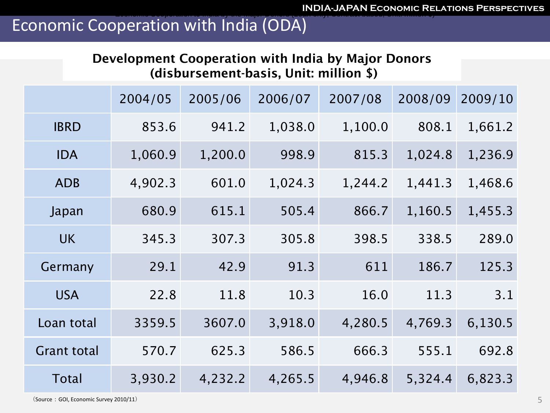### Economic Cooperation with India (ODA)

#### **Development Cooperation with India by Major Donors (disbursement-basis, Unit: million \$)**

|                    | 2004/05 | 2005/06 | 2006/07 | 2007/08 | 2008/09 | 2009/10 |
|--------------------|---------|---------|---------|---------|---------|---------|
| <b>IBRD</b>        | 853.6   | 941.2   | 1,038.0 | 1,100.0 | 808.1   | 1,661.2 |
| <b>IDA</b>         | 1,060.9 | 1,200.0 | 998.9   | 815.3   | 1,024.8 | 1,236.9 |
| <b>ADB</b>         | 4,902.3 | 601.0   | 1,024.3 | 1,244.2 | 1,441.3 | 1,468.6 |
| Japan              | 680.9   | 615.1   | 505.4   | 866.7   | 1,160.5 | 1,455.3 |
| <b>UK</b>          | 345.3   | 307.3   | 305.8   | 398.5   | 338.5   | 289.0   |
| Germany            | 29.1    | 42.9    | 91.3    | 611     | 186.7   | 125.3   |
| <b>USA</b>         | 22.8    | 11.8    | 10.3    | 16.0    | 11.3    | 3.1     |
| Loan total         | 3359.5  | 3607.0  | 3,918.0 | 4,280.5 | 4,769.3 | 6,130.5 |
| <b>Grant total</b> | 570.7   | 625.3   | 586.5   | 666.3   | 555.1   | 692.8   |
| <b>Total</b>       | 3,930.2 | 4,232.2 | 4,265.5 | 4,946.8 | 5,324.4 | 6,823.3 |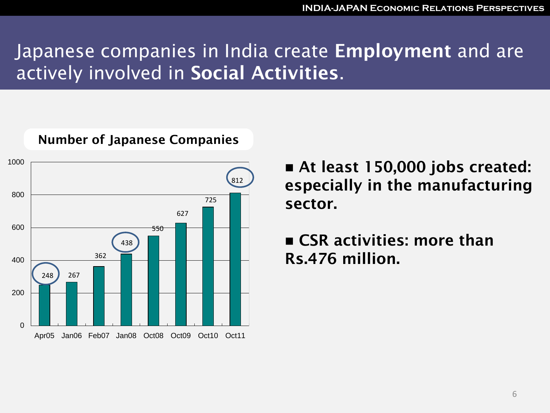## Japanese companies in India create **Employment** and are actively involved in **Social Activities**.



#### **Number of Japanese Companies**

 **At least 150,000 jobs created: especially in the manufacturing sector.**

 **CSR activities: more than Rs.476 million.**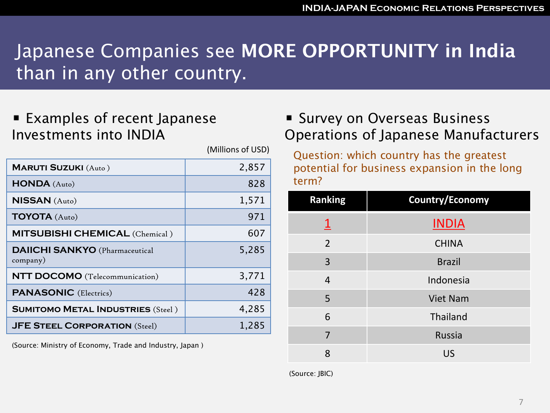# Japanese Companies see **MORE OPPORTUNITY in India**  than in any other country.

■ Examples of recent Japanese Investments into INDIA

|                                                   | (Millions of USD) |
|---------------------------------------------------|-------------------|
| <b>MARUTI SUZUKI</b> (Auto)                       | 2,857             |
| HONDA (Auto)                                      | 828               |
| <b>NISSAN</b> (Auto)                              | 1,571             |
| TOYOTA (Auto)                                     | 971               |
| <b>MITSUBISHI CHEMICAL</b> (Chemical)             | 607               |
| <b>DAIICHI SANKYO</b> (Pharmaceutical<br>company) | 5,285             |
| <b>NTT DOCOMO</b> (Telecommunication)             | 3,771             |
| <b>PANASONIC</b> (Electrics)                      | 428               |
| <b>SUMITOMO METAL INDUSTRIES (Steel)</b>          | 4,285             |
| <b>JFE STEEL CORPORATION (Steel)</b>              | 1,285             |

(Source: Ministry of Economy, Trade and Industry, Japan )

### **Survey on Overseas Business** Operations of Japanese Manufacturers

Question: which country has the greatest potential for business expansion in the long term?

| <b>Ranking</b>          | <b>Country/Economy</b> |  |  |
|-------------------------|------------------------|--|--|
| $\overline{\mathsf{I}}$ | <b>INDIA</b>           |  |  |
| $\overline{2}$          | <b>CHINA</b>           |  |  |
| 3                       | <b>Brazil</b>          |  |  |
| 4                       | Indonesia              |  |  |
| 5                       | <b>Viet Nam</b>        |  |  |
| 6                       | Thailand               |  |  |
| 7                       | <b>Russia</b>          |  |  |
| 8                       | US                     |  |  |

(Source: JBIC)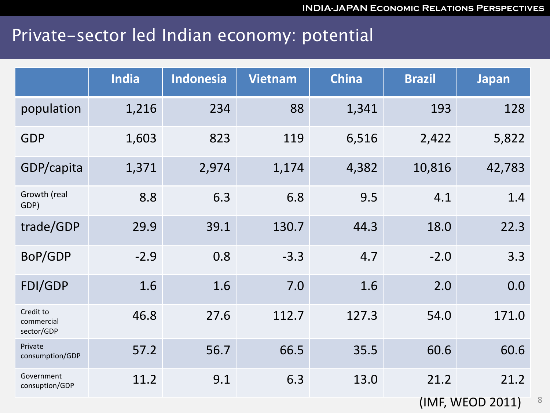### Private-sector led Indian economy: potential

|                                       | <b>India</b> | <b>Indonesia</b> | <b>Vietnam</b> | <b>China</b> | <b>Brazil</b> | <b>Japan</b> |
|---------------------------------------|--------------|------------------|----------------|--------------|---------------|--------------|
| population                            | 1,216        | 234              | 88             | 1,341        | 193           | 128          |
| <b>GDP</b>                            | 1,603        | 823              | 119            | 6,516        | 2,422         | 5,822        |
| GDP/capita                            | 1,371        | 2,974            | 1,174          | 4,382        | 10,816        | 42,783       |
| Growth (real<br>GDP)                  | 8.8          | 6.3              | 6.8            | 9.5          | 4.1           | 1.4          |
| trade/GDP                             | 29.9         | 39.1             | 130.7          | 44.3         | 18.0          | 22.3         |
| BoP/GDP                               | $-2.9$       | 0.8              | $-3.3$         | 4.7          | $-2.0$        | 3.3          |
| FDI/GDP                               | 1.6          | 1.6              | 7.0            | 1.6          | 2.0           | 0.0          |
| Credit to<br>commercial<br>sector/GDP | 46.8         | 27.6             | 112.7          | 127.3        | 54.0          | 171.0        |
| Private<br>consumption/GDP            | 57.2         | 56.7             | 66.5           | 35.5         | 60.6          | 60.6         |
| Government<br>consuption/GDP          | 11.2         | 9.1              | 6.3            | 13.0         | 21.2          | 21.2         |

(IMF, WEOD 2011)

8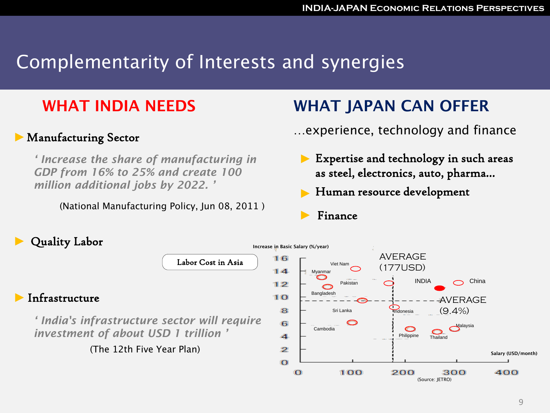# Complementarity of Interests and synergies

### **WHAT INDIA NEEDS**

#### Manufacturing Sector

*' Increase the share of manufacturing in GDP from 16% to 25% and create 100 million additional jobs by 2022. '*

(National Manufacturing Policy, Jun 08, 2011 )

### **WHAT JAPAN CAN OFFER**

- …experience, technology and finance
	- Expertise and technology in such areas as steel, electronics, auto, pharma…

(Source: JETRO)

- Human resource development
- Finance

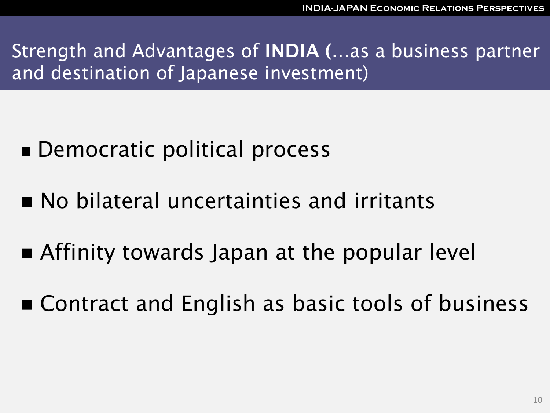Strength and Advantages of **INDIA (…**as a business partner and destination of Japanese investment)

- Democratic political process
- No bilateral uncertainties and irritants
- **E** Affinity towards Japan at the popular level
- Contract and English as basic tools of business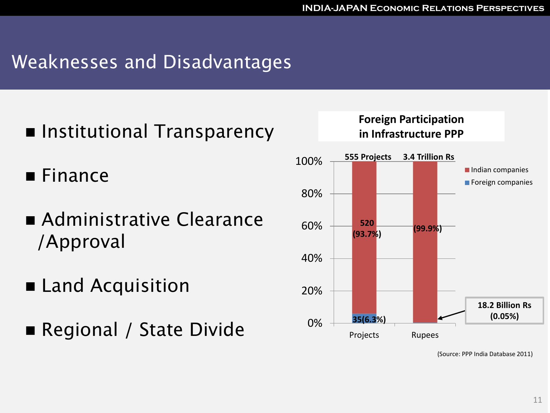## Weaknesses and Disadvantages

- Institutional Transparency
- **Finance**
- **Administrative Clearance** /Approval
- Land Acquisition
- Regional / State Divide  $0\%$



**Foreign Participation in Infrastructure PPP** 

(Source: PPP India Database 2011)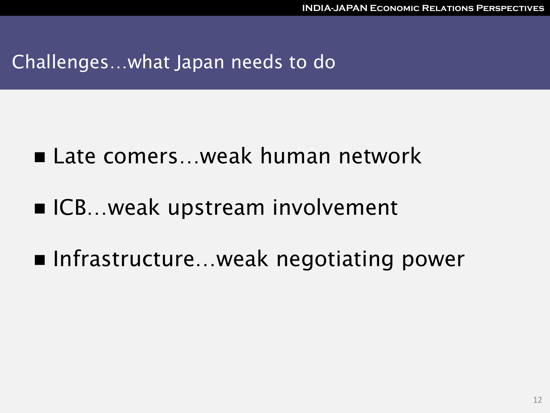### Challenges…what Japan needs to do

- Late comers...weak human network
- ICB…weak upstream involvement
- Infrastructure…weak negotiating power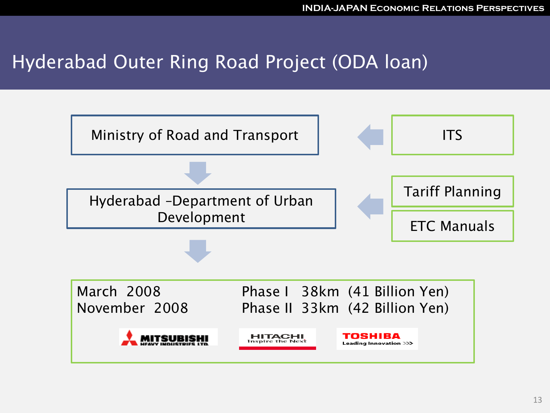### Hyderabad Outer Ring Road Project (ODA loan)

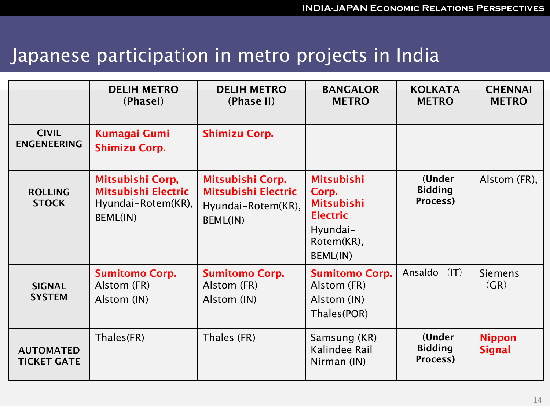## Japanese participation in metro projects in India

|                                        | <b>DELIH METRO</b><br>(Phasel)                                                   | <b>DELIH METRO</b><br>(Phase II)                                          | <b>BANGALOR</b><br><b>METRO</b>                                                                                 | <b>KOLKATA</b><br><b>METRO</b>       | <b>CHENNAI</b><br><b>METRO</b> |
|----------------------------------------|----------------------------------------------------------------------------------|---------------------------------------------------------------------------|-----------------------------------------------------------------------------------------------------------------|--------------------------------------|--------------------------------|
| <b>CIVIL</b><br><b>ENGENEERING</b>     | <b>Kumagai Gumi</b><br><b>Shimizu Corp.</b>                                      | <b>Shimizu Corp.</b>                                                      |                                                                                                                 |                                      |                                |
| <b>ROLLING</b><br><b>STOCK</b>         | Mitsubishi Corp,<br>Mitsubishi Electric<br>Hyundai-Rotem(KR),<br><b>BEML(IN)</b> | Mitsubishi Corp.<br>Mitsubishi Electric<br>Hyundai-Rotem(KR),<br>BEML(IN) | <b>Mitsubishi</b><br>Corp.<br><b>Mitsubishi</b><br><b>Electric</b><br>Hyundai-<br>Rotem(KR),<br><b>BEML(IN)</b> | (Under<br><b>Bidding</b><br>Process) | Alstom (FR),                   |
| <b>SIGNAL</b><br><b>SYSTEM</b>         | <b>Sumitomo Corp.</b><br>Alstom (FR)<br>Alstom (IN)                              | <b>Sumitomo Corp.</b><br>Alstom (FR)<br>Alstom (IN)                       | <b>Sumitomo Corp.</b><br>Alstom (FR)<br>Alstom (IN)<br>Thales(POR)                                              | Ansaldo<br>(IT)                      | <b>Siemens</b><br>(GR)         |
| <b>AUTOMATED</b><br><b>TICKET GATE</b> | Thales(FR)                                                                       | Thales (FR)                                                               | Samsung (KR)<br>Kalindee Rail<br>Nirman (IN)                                                                    | (Under<br><b>Bidding</b><br>Process) | <b>Nippon</b><br><b>Signal</b> |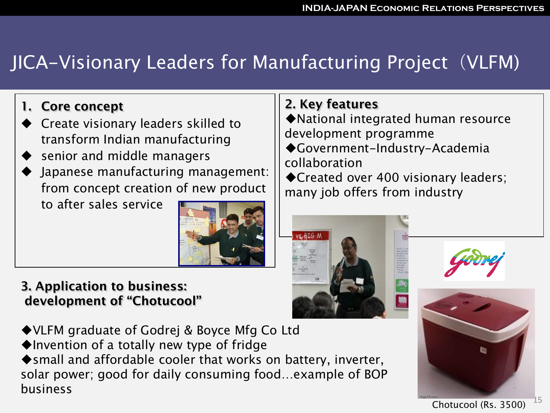# JICA-Visionary Leaders for Manufacturing Project (VLFM)

### **1. Core concept**

- Create visionary leaders skilled to transform Indian manufacturing
- senior and middle managers
- Japanese manufacturing management: from concept creation of new product

to after sales service



#### **3. Application to business: development of "Chotucool"**

◆ VLFM graduate of Godrej & Boyce Mfg Co Ltd Invention of a totally new type of fridge ◆ small and affordable cooler that works on battery, inverter, solar power; good for daily consuming food…example of BOP business

### **2. Key features**

National integrated human resource development programme

Government-Industry-Academia collaboration

◆ Created over 400 visionary leaders; many job offers from industry





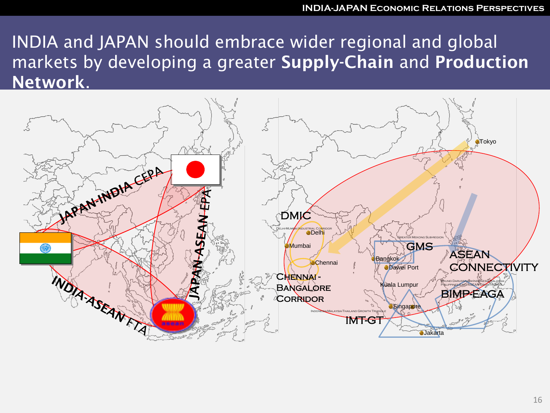INDIA and JAPAN should embrace wider regional and global markets by developing a greater **Supply-Chain** and **Production Network**.